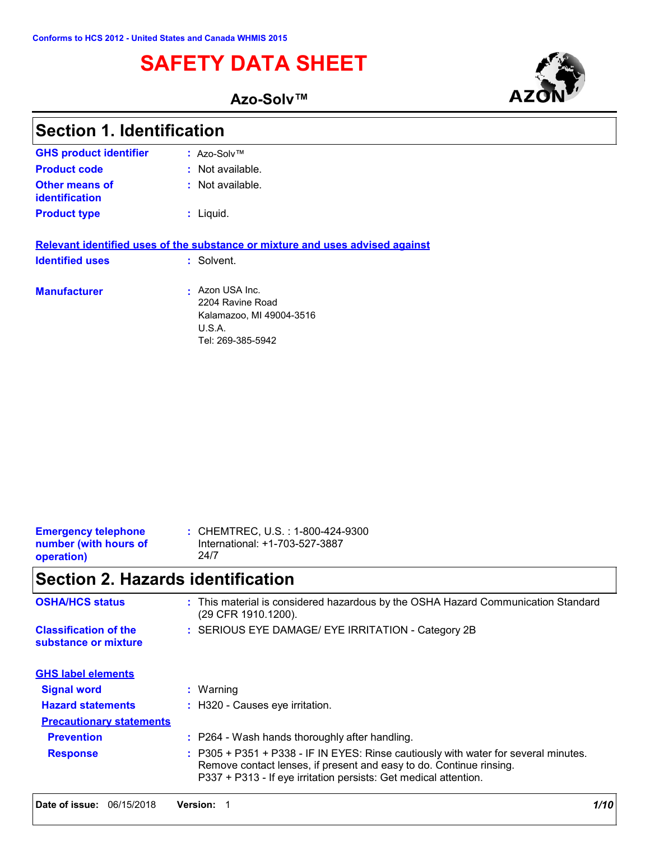# **SAFETY DATA SHEET**

**Azo-Solv™**



| : CHEMTREC, U.S. : 1-800-424-9300<br><b>Emergency telephone</b><br>International: +1-703-527-3887<br>number (with hours of<br>24/7<br>operation) |  |
|--------------------------------------------------------------------------------------------------------------------------------------------------|--|
|--------------------------------------------------------------------------------------------------------------------------------------------------|--|

# **Section 2. Hazards identification**

| <b>OSHA/HCS status</b>                               | : This material is considered hazardous by the OSHA Hazard Communication Standard<br>(29 CFR 1910.1200).                                                                                                                       |
|------------------------------------------------------|--------------------------------------------------------------------------------------------------------------------------------------------------------------------------------------------------------------------------------|
| <b>Classification of the</b><br>substance or mixture | : SERIOUS EYE DAMAGE/ EYE IRRITATION - Category 2B                                                                                                                                                                             |
| <b>GHS label elements</b>                            |                                                                                                                                                                                                                                |
| <b>Signal word</b>                                   | $:$ Warning                                                                                                                                                                                                                    |
| <b>Hazard statements</b>                             | : H320 - Causes eye irritation.                                                                                                                                                                                                |
| <b>Precautionary statements</b>                      |                                                                                                                                                                                                                                |
| <b>Prevention</b>                                    | : P264 - Wash hands thoroughly after handling.                                                                                                                                                                                 |
| <b>Response</b>                                      | : P305 + P351 + P338 - IF IN EYES: Rinse cautiously with water for several minutes.<br>Remove contact lenses, if present and easy to do. Continue rinsing.<br>P337 + P313 - If eye irritation persists: Get medical attention. |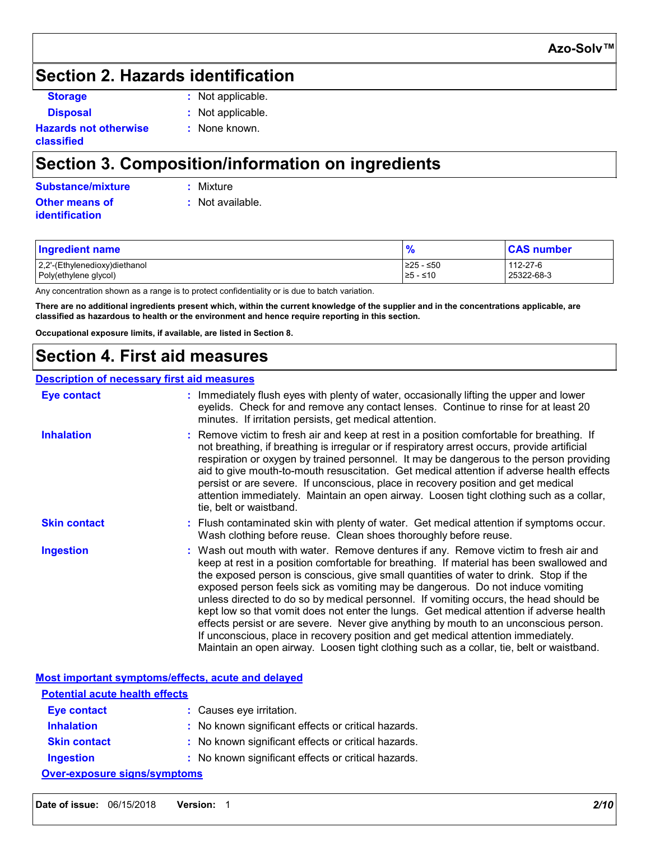# **Section 2. Hazards identification**

- 
- **Storage :** Not applicable.

**Disposal :** Not applicable. **:** None known.

**Hazards not otherwise classified**

# **Section 3. Composition/information on ingredients**

| Substance/mixture     | : Mixture          |
|-----------------------|--------------------|
| <b>Other means of</b> | $:$ Not available. |
| identification        |                    |

| <b>Ingredient name</b>        | $\frac{9}{6}$ | <b>CAS number</b> |
|-------------------------------|---------------|-------------------|
| 2,2'-(Ethylenedioxy)diethanol | ≥25 - ≤50     | 112-27-6          |
| Poly(ethylene glycol)         | $≥5 - ≤10$    | 25322-68-3        |

Any concentration shown as a range is to protect confidentiality or is due to batch variation.

**There are no additional ingredients present which, within the current knowledge of the supplier and in the concentrations applicable, are classified as hazardous to health or the environment and hence require reporting in this section.**

**Occupational exposure limits, if available, are listed in Section 8.**

# **Section 4. First aid measures**

#### **Description of necessary first aid measures**

| <b>Eye contact</b>  | : Immediately flush eyes with plenty of water, occasionally lifting the upper and lower<br>eyelids. Check for and remove any contact lenses. Continue to rinse for at least 20<br>minutes. If irritation persists, get medical attention.                                                                                                                                                                                                                                                                                                                                                                                                                                                                                                                                                                                 |
|---------------------|---------------------------------------------------------------------------------------------------------------------------------------------------------------------------------------------------------------------------------------------------------------------------------------------------------------------------------------------------------------------------------------------------------------------------------------------------------------------------------------------------------------------------------------------------------------------------------------------------------------------------------------------------------------------------------------------------------------------------------------------------------------------------------------------------------------------------|
| <b>Inhalation</b>   | : Remove victim to fresh air and keep at rest in a position comfortable for breathing. If<br>not breathing, if breathing is irregular or if respiratory arrest occurs, provide artificial<br>respiration or oxygen by trained personnel. It may be dangerous to the person providing<br>aid to give mouth-to-mouth resuscitation. Get medical attention if adverse health effects<br>persist or are severe. If unconscious, place in recovery position and get medical<br>attention immediately. Maintain an open airway. Loosen tight clothing such as a collar,<br>tie, belt or waistband.                                                                                                                                                                                                                              |
| <b>Skin contact</b> | : Flush contaminated skin with plenty of water. Get medical attention if symptoms occur.<br>Wash clothing before reuse. Clean shoes thoroughly before reuse.                                                                                                                                                                                                                                                                                                                                                                                                                                                                                                                                                                                                                                                              |
| <b>Ingestion</b>    | : Wash out mouth with water. Remove dentures if any. Remove victim to fresh air and<br>keep at rest in a position comfortable for breathing. If material has been swallowed and<br>the exposed person is conscious, give small quantities of water to drink. Stop if the<br>exposed person feels sick as vomiting may be dangerous. Do not induce vomiting<br>unless directed to do so by medical personnel. If vomiting occurs, the head should be<br>kept low so that vomit does not enter the lungs. Get medical attention if adverse health<br>effects persist or are severe. Never give anything by mouth to an unconscious person.<br>If unconscious, place in recovery position and get medical attention immediately.<br>Maintain an open airway. Loosen tight clothing such as a collar, tie, belt or waistband. |

**Most important symptoms/effects, acute and delayed**

| <b>Potential acute health effects</b> |                                                     |  |  |
|---------------------------------------|-----------------------------------------------------|--|--|
| <b>Eye contact</b>                    | : Causes eye irritation.                            |  |  |
| <b>Inhalation</b>                     | : No known significant effects or critical hazards. |  |  |
| <b>Skin contact</b>                   | : No known significant effects or critical hazards. |  |  |
| <b>Ingestion</b>                      | : No known significant effects or critical hazards. |  |  |
| <b>Over-exposure signs/symptoms</b>   |                                                     |  |  |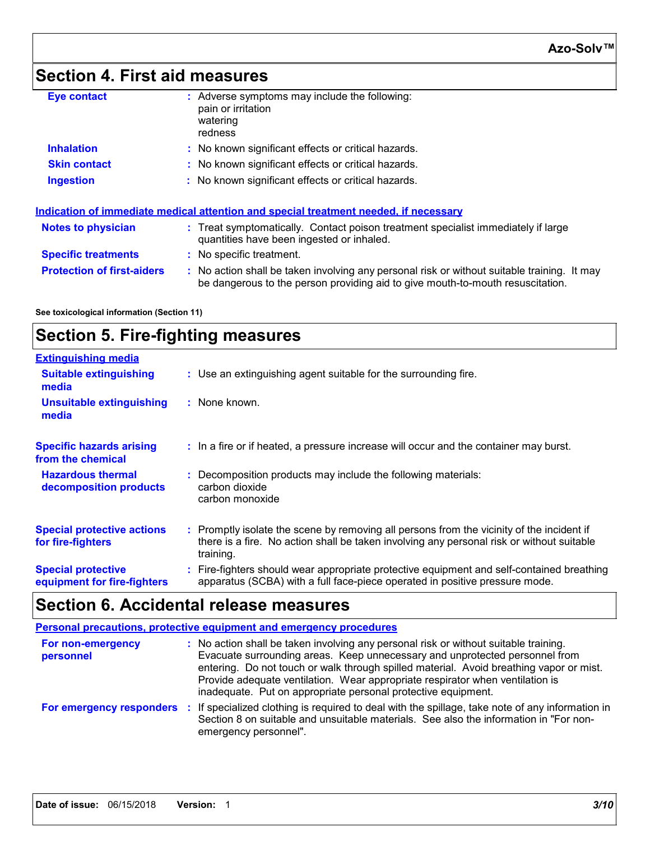# **Section 4. First aid measures**

| <b>Eye contact</b>                                                                   | : Adverse symptoms may include the following:<br>pain or irritation<br>watering<br>redness                                                                                    |  |  |
|--------------------------------------------------------------------------------------|-------------------------------------------------------------------------------------------------------------------------------------------------------------------------------|--|--|
| <b>Inhalation</b>                                                                    | : No known significant effects or critical hazards.                                                                                                                           |  |  |
| <b>Skin contact</b>                                                                  | : No known significant effects or critical hazards.                                                                                                                           |  |  |
| <b>Ingestion</b>                                                                     | : No known significant effects or critical hazards.                                                                                                                           |  |  |
| Indication of immediate medical attention and special treatment needed, if necessary |                                                                                                                                                                               |  |  |
| <b>Notes to physician</b>                                                            | : Treat symptomatically. Contact poison treatment specialist immediately if large<br>quantities have been ingested or inhaled.                                                |  |  |
| <b>Specific treatments</b>                                                           | : No specific treatment.                                                                                                                                                      |  |  |
| <b>Protection of first-aiders</b>                                                    | : No action shall be taken involving any personal risk or without suitable training. It may<br>be dangerous to the person providing aid to give mouth-to-mouth resuscitation. |  |  |

**See toxicological information (Section 11)**

# **Section 5. Fire-fighting measures**

| <b>Extinguishing media</b>                               |                                                                                                                                                                                                     |
|----------------------------------------------------------|-----------------------------------------------------------------------------------------------------------------------------------------------------------------------------------------------------|
| <b>Suitable extinguishing</b><br>media                   | : Use an extinguishing agent suitable for the surrounding fire.                                                                                                                                     |
| <b>Unsuitable extinguishing</b><br>media                 | : None known.                                                                                                                                                                                       |
| <b>Specific hazards arising</b><br>from the chemical     | : In a fire or if heated, a pressure increase will occur and the container may burst.                                                                                                               |
| <b>Hazardous thermal</b><br>decomposition products       | Decomposition products may include the following materials:<br>carbon dioxide<br>carbon monoxide                                                                                                    |
| <b>Special protective actions</b><br>for fire-fighters   | : Promptly isolate the scene by removing all persons from the vicinity of the incident if<br>there is a fire. No action shall be taken involving any personal risk or without suitable<br>training. |
| <b>Special protective</b><br>equipment for fire-fighters | : Fire-fighters should wear appropriate protective equipment and self-contained breathing<br>apparatus (SCBA) with a full face-piece operated in positive pressure mode.                            |

# **Section 6. Accidental release measures**

| Personal precautions, protective equipment and emergency procedures |                                                                                                                                                                                                                                                                                                                                                                                                                  |  |
|---------------------------------------------------------------------|------------------------------------------------------------------------------------------------------------------------------------------------------------------------------------------------------------------------------------------------------------------------------------------------------------------------------------------------------------------------------------------------------------------|--|
| For non-emergency<br>personnel                                      | : No action shall be taken involving any personal risk or without suitable training.<br>Evacuate surrounding areas. Keep unnecessary and unprotected personnel from<br>entering. Do not touch or walk through spilled material. Avoid breathing vapor or mist.<br>Provide adequate ventilation. Wear appropriate respirator when ventilation is<br>inadequate. Put on appropriate personal protective equipment. |  |
| For emergency responders                                            | : If specialized clothing is required to deal with the spillage, take note of any information in<br>Section 8 on suitable and unsuitable materials. See also the information in "For non-<br>emergency personnel".                                                                                                                                                                                               |  |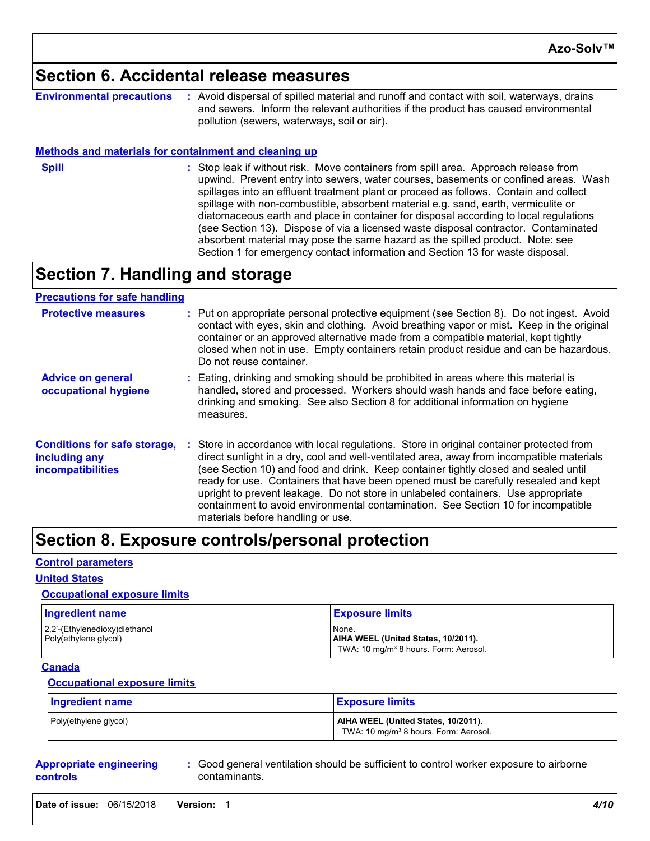### **Section 6. Accidental release measures**

| <b>Environmental precautions</b> | : Avoid dispersal of spilled material and runoff and contact with soil, waterways, drains |
|----------------------------------|-------------------------------------------------------------------------------------------|
|                                  | and sewers. Inform the relevant authorities if the product has caused environmental       |
|                                  | pollution (sewers, waterways, soil or air).                                               |

#### **Methods and materials for containment and cleaning up**

- 
- **Spill Stop leak if without risk. Move containers from spill area. Approach release from <b>Spill :** Stop leak if without risk. Move containers from spill area. Approach release from upwind. Prevent entry into sewers, water courses, basements or confined areas. Wash spillages into an effluent treatment plant or proceed as follows. Contain and collect spillage with non-combustible, absorbent material e.g. sand, earth, vermiculite or diatomaceous earth and place in container for disposal according to local regulations (see Section 13). Dispose of via a licensed waste disposal contractor. Contaminated absorbent material may pose the same hazard as the spilled product. Note: see Section 1 for emergency contact information and Section 13 for waste disposal.

## **Section 7. Handling and storage**

#### **Precautions for safe handling**

| <b>Protective measures</b>                                                       | : Put on appropriate personal protective equipment (see Section 8). Do not ingest. Avoid<br>contact with eyes, skin and clothing. Avoid breathing vapor or mist. Keep in the original<br>container or an approved alternative made from a compatible material, kept tightly<br>closed when not in use. Empty containers retain product residue and can be hazardous.<br>Do not reuse container.                                                                                                                                                                                    |
|----------------------------------------------------------------------------------|------------------------------------------------------------------------------------------------------------------------------------------------------------------------------------------------------------------------------------------------------------------------------------------------------------------------------------------------------------------------------------------------------------------------------------------------------------------------------------------------------------------------------------------------------------------------------------|
| <b>Advice on general</b><br>occupational hygiene                                 | : Eating, drinking and smoking should be prohibited in areas where this material is<br>handled, stored and processed. Workers should wash hands and face before eating,<br>drinking and smoking. See also Section 8 for additional information on hygiene<br>measures.                                                                                                                                                                                                                                                                                                             |
| <b>Conditions for safe storage,</b><br>including any<br><i>incompatibilities</i> | : Store in accordance with local regulations. Store in original container protected from<br>direct sunlight in a dry, cool and well-ventilated area, away from incompatible materials<br>(see Section 10) and food and drink. Keep container tightly closed and sealed until<br>ready for use. Containers that have been opened must be carefully resealed and kept<br>upright to prevent leakage. Do not store in unlabeled containers. Use appropriate<br>containment to avoid environmental contamination. See Section 10 for incompatible<br>materials before handling or use. |

### **Section 8. Exposure controls/personal protection**

#### **Control parameters**

#### **United States**

#### **Occupational exposure limits**

| <b>Ingredient name</b>                                 | <u>I Exposure limits</u>                                                                          |
|--------------------------------------------------------|---------------------------------------------------------------------------------------------------|
| 2,2'-(Ethylenedioxy)diethanol<br>Poly(ethylene glycol) | None.<br>AIHA WEEL (United States, 10/2011).<br>TWA: 10 mg/m <sup>3</sup> 8 hours. Form: Aerosol. |

#### **Canada**

#### **Occupational exposure limits**

| <b>Ingredient name</b> | <b>Exposure limits</b>                                                                   |
|------------------------|------------------------------------------------------------------------------------------|
| Poly(ethylene glycol)  | AIHA WEEL (United States, 10/2011).<br>TWA: 10 mg/m <sup>3</sup> 8 hours. Form: Aerosol. |

|          | <b>Appropriate engineering</b> |
|----------|--------------------------------|
| controls |                                |

**:** Good general ventilation should be sufficient to control worker exposure to airborne contaminants.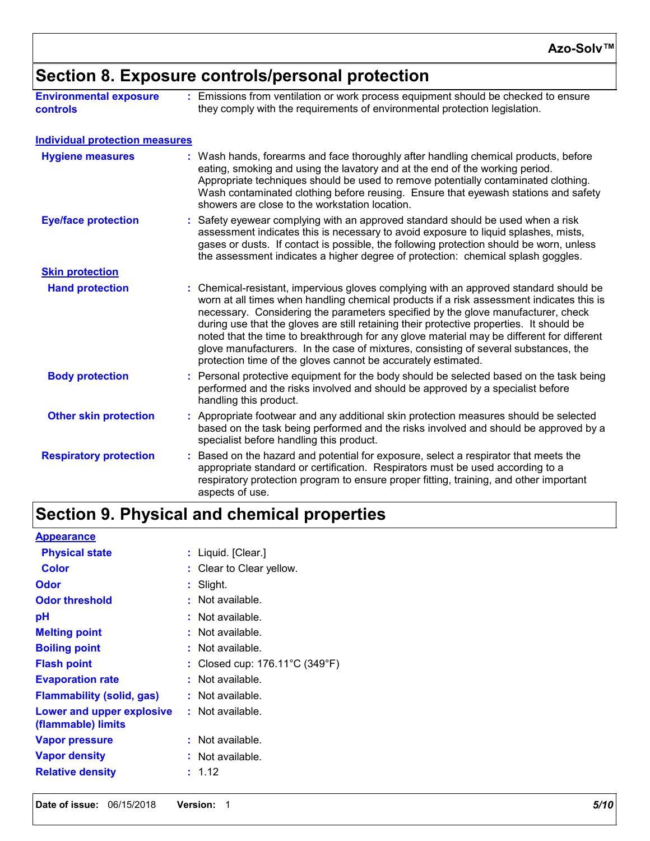# **Section 8. Exposure controls/personal protection**

| <b>Environmental exposure</b> | : Emissions from ventilation or work process equipment should be checked to ensure |
|-------------------------------|------------------------------------------------------------------------------------|
| <b>controls</b>               | they comply with the requirements of environmental protection legislation.         |

#### **Individual protection measures**

| <b>Hygiene measures</b>       |  | : Wash hands, forearms and face thoroughly after handling chemical products, before<br>eating, smoking and using the lavatory and at the end of the working period.<br>Appropriate techniques should be used to remove potentially contaminated clothing.<br>Wash contaminated clothing before reusing. Ensure that eyewash stations and safety<br>showers are close to the workstation location.                                                                                                                                                                                                                      |
|-------------------------------|--|------------------------------------------------------------------------------------------------------------------------------------------------------------------------------------------------------------------------------------------------------------------------------------------------------------------------------------------------------------------------------------------------------------------------------------------------------------------------------------------------------------------------------------------------------------------------------------------------------------------------|
| <b>Eye/face protection</b>    |  | : Safety eyewear complying with an approved standard should be used when a risk<br>assessment indicates this is necessary to avoid exposure to liquid splashes, mists,<br>gases or dusts. If contact is possible, the following protection should be worn, unless<br>the assessment indicates a higher degree of protection: chemical splash goggles.                                                                                                                                                                                                                                                                  |
| <b>Skin protection</b>        |  |                                                                                                                                                                                                                                                                                                                                                                                                                                                                                                                                                                                                                        |
| <b>Hand protection</b>        |  | : Chemical-resistant, impervious gloves complying with an approved standard should be<br>worn at all times when handling chemical products if a risk assessment indicates this is<br>necessary. Considering the parameters specified by the glove manufacturer, check<br>during use that the gloves are still retaining their protective properties. It should be<br>noted that the time to breakthrough for any glove material may be different for different<br>glove manufacturers. In the case of mixtures, consisting of several substances, the<br>protection time of the gloves cannot be accurately estimated. |
| <b>Body protection</b>        |  | : Personal protective equipment for the body should be selected based on the task being<br>performed and the risks involved and should be approved by a specialist before<br>handling this product.                                                                                                                                                                                                                                                                                                                                                                                                                    |
| <b>Other skin protection</b>  |  | : Appropriate footwear and any additional skin protection measures should be selected<br>based on the task being performed and the risks involved and should be approved by a<br>specialist before handling this product.                                                                                                                                                                                                                                                                                                                                                                                              |
| <b>Respiratory protection</b> |  | : Based on the hazard and potential for exposure, select a respirator that meets the<br>appropriate standard or certification. Respirators must be used according to a<br>respiratory protection program to ensure proper fitting, training, and other important<br>aspects of use.                                                                                                                                                                                                                                                                                                                                    |

# **Section 9. Physical and chemical properties**

| <b>Appearance</b>                               |                                                     |
|-------------------------------------------------|-----------------------------------------------------|
| <b>Physical state</b>                           | : Liquid. [Clear.]                                  |
| <b>Color</b>                                    | : Clear to Clear yellow.                            |
| Odor                                            | : Slight.                                           |
| <b>Odor threshold</b>                           | : Not available.                                    |
| рH                                              | : Not available.                                    |
| <b>Melting point</b>                            | : Not available.                                    |
| <b>Boiling point</b>                            | : Not available.                                    |
| <b>Flash point</b>                              | : Closed cup: $176.11^{\circ}$ C (349 $^{\circ}$ F) |
| <b>Evaporation rate</b>                         | : Not available.                                    |
| <b>Flammability (solid, gas)</b>                | $:$ Not available.                                  |
| Lower and upper explosive<br>(flammable) limits | $:$ Not available.                                  |
| <b>Vapor pressure</b>                           | $:$ Not available.                                  |
| <b>Vapor density</b>                            | : Not available.                                    |
| <b>Relative density</b>                         | : 1.12                                              |
|                                                 |                                                     |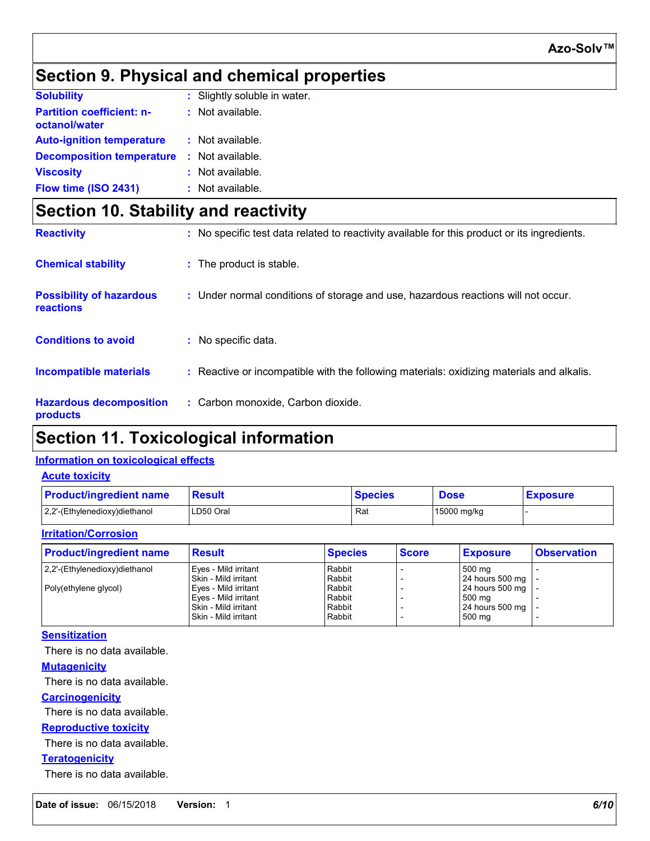# **Section 9. Physical and chemical properties**

| <b>Solubility</b>                                 | : Slightly soluble in water. |
|---------------------------------------------------|------------------------------|
| <b>Partition coefficient: n-</b><br>octanol/water | : Not available.             |
| <b>Auto-ignition temperature</b>                  | : Not available.             |
| <b>Decomposition temperature</b>                  | : Not available.             |
| <b>Viscosity</b>                                  | : Not available.             |
| Flow time (ISO 2431)                              | : Not available.             |

# **Section 10. Stability and reactivity**

| <b>Reactivity</b>                            | : No specific test data related to reactivity available for this product or its ingredients. |
|----------------------------------------------|----------------------------------------------------------------------------------------------|
| <b>Chemical stability</b>                    | : The product is stable.                                                                     |
| <b>Possibility of hazardous</b><br>reactions | : Under normal conditions of storage and use, hazardous reactions will not occur.            |
| <b>Conditions to avoid</b>                   | : No specific data.                                                                          |
| <b>Incompatible materials</b>                | : Reactive or incompatible with the following materials: oxidizing materials and alkalis.    |
| <b>Hazardous decomposition</b><br>products   | : Carbon monoxide, Carbon dioxide.                                                           |

# **Section 11. Toxicological information**

### **Information on toxicological effects**

#### **Acute toxicity**

| <b>Product/ingredient name</b> | <b>Result</b> | <b>Species</b> | <b>Dose</b> | <b>Exposure</b> |
|--------------------------------|---------------|----------------|-------------|-----------------|
| 2,2'-(Ethylenedioxy)diethanol  | LD50 Oral     | Rat            | 15000 mg/kg |                 |

#### **Irritation/Corrosion**

| <b>Product/ingredient name</b> | <b>Result</b>        | <b>Species</b> | <b>Score</b> | <b>Exposure</b>   | <b>Observation</b> |
|--------------------------------|----------------------|----------------|--------------|-------------------|--------------------|
| 2,2'-(Ethylenedioxy)diethanol  | Eyes - Mild irritant | Rabbit         |              | 500 mg            |                    |
|                                | Skin - Mild irritant | Rabbit         |              | 24 hours 500 mg   |                    |
| Poly(ethylene glycol)          | Eyes - Mild irritant | Rabbit         |              | $24$ hours 500 mg |                    |
|                                | Eyes - Mild irritant | Rabbit         |              | 500 mg            |                    |
|                                | Skin - Mild irritant | Rabbit         |              | 24 hours 500 mg   |                    |
|                                | Skin - Mild irritant | Rabbit         |              | 500 mg            |                    |

#### **Sensitization**

There is no data available.

#### **Mutagenicity**

There is no data available.

#### **Carcinogenicity**

There is no data available.

#### **Reproductive toxicity**

There is no data available.

#### **Teratogenicity**

There is no data available.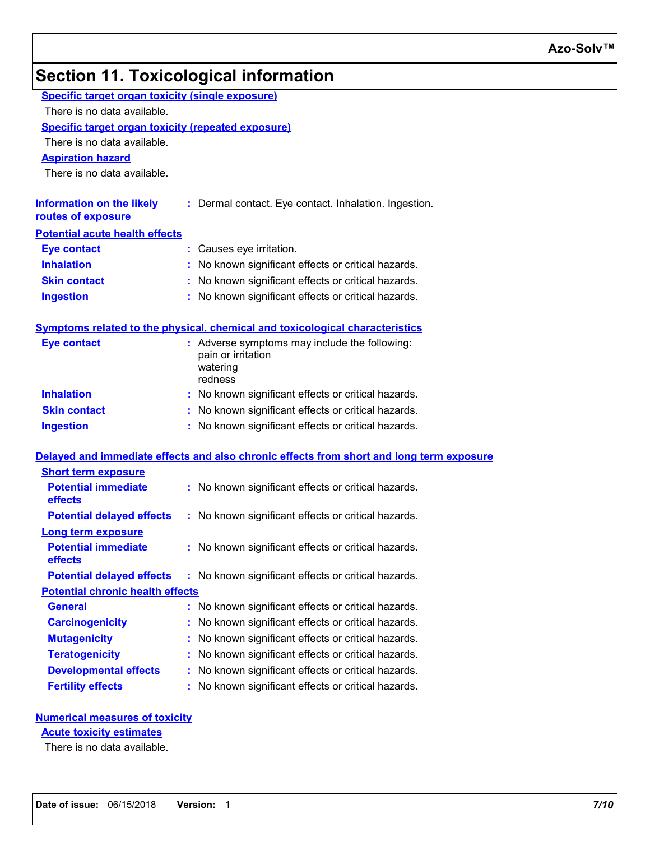# **Section 11. Toxicological information**

|                                                           | <b>Specific target organ toxicity (single exposure)</b>                                    |  |  |  |  |
|-----------------------------------------------------------|--------------------------------------------------------------------------------------------|--|--|--|--|
| There is no data available.                               |                                                                                            |  |  |  |  |
| <b>Specific target organ toxicity (repeated exposure)</b> |                                                                                            |  |  |  |  |
| There is no data available.                               |                                                                                            |  |  |  |  |
| <b>Aspiration hazard</b>                                  |                                                                                            |  |  |  |  |
| There is no data available.                               |                                                                                            |  |  |  |  |
| <b>Information on the likely</b><br>routes of exposure    | : Dermal contact. Eye contact. Inhalation. Ingestion.                                      |  |  |  |  |
| <b>Potential acute health effects</b>                     |                                                                                            |  |  |  |  |
| <b>Eye contact</b>                                        | : Causes eye irritation.                                                                   |  |  |  |  |
| <b>Inhalation</b>                                         | : No known significant effects or critical hazards.                                        |  |  |  |  |
| <b>Skin contact</b>                                       | : No known significant effects or critical hazards.                                        |  |  |  |  |
| <b>Ingestion</b>                                          | : No known significant effects or critical hazards.                                        |  |  |  |  |
|                                                           | <b>Symptoms related to the physical, chemical and toxicological characteristics</b>        |  |  |  |  |
| <b>Eye contact</b>                                        | : Adverse symptoms may include the following:<br>pain or irritation<br>watering<br>redness |  |  |  |  |
| <b>Inhalation</b>                                         | : No known significant effects or critical hazards.                                        |  |  |  |  |
| <b>Skin contact</b>                                       | : No known significant effects or critical hazards.                                        |  |  |  |  |
| <b>Ingestion</b>                                          | : No known significant effects or critical hazards.                                        |  |  |  |  |
|                                                           | Delayed and immediate effects and also chronic effects from short and long term exposure   |  |  |  |  |
| <b>Short term exposure</b>                                |                                                                                            |  |  |  |  |
| <b>Potential immediate</b><br>effects                     | : No known significant effects or critical hazards.                                        |  |  |  |  |
| <b>Potential delayed effects</b>                          | : No known significant effects or critical hazards.                                        |  |  |  |  |
| <b>Long term exposure</b>                                 |                                                                                            |  |  |  |  |
| <b>Potential immediate</b><br>effects                     | : No known significant effects or critical hazards.                                        |  |  |  |  |
| <b>Potential delayed effects</b>                          | : No known significant effects or critical hazards.                                        |  |  |  |  |
| <b>Potential chronic health effects</b>                   |                                                                                            |  |  |  |  |
| <b>General</b>                                            | : No known significant effects or critical hazards.                                        |  |  |  |  |
| <b>Carcinogenicity</b>                                    | No known significant effects or critical hazards.                                          |  |  |  |  |
| <b>Mutagenicity</b>                                       | No known significant effects or critical hazards.                                          |  |  |  |  |
| <b>Teratogenicity</b>                                     | No known significant effects or critical hazards.                                          |  |  |  |  |
|                                                           | : No known significant effects or critical hazards.                                        |  |  |  |  |
| <b>Developmental effects</b>                              |                                                                                            |  |  |  |  |

### **Numerical measures of toxicity**

**Acute toxicity estimates**

There is no data available.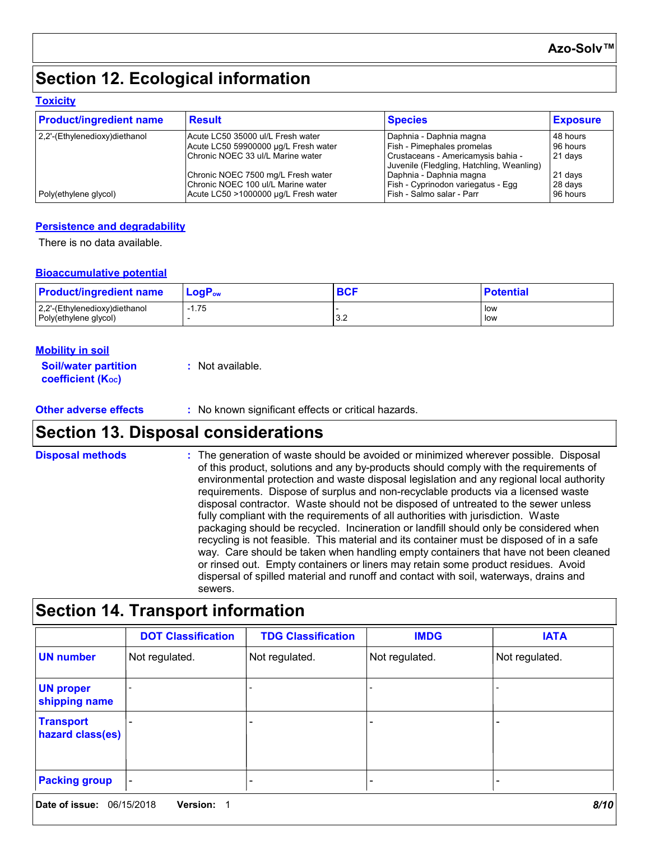# **Section 12. Ecological information**

#### **Toxicity**

| <b>Product/ingredient name</b> | <b>Result</b>                        | <b>Species</b>                                                                  | <b>Exposure</b> |
|--------------------------------|--------------------------------------|---------------------------------------------------------------------------------|-----------------|
| 2.2'-(Ethylenedioxy)diethanol  | Acute LC50 35000 ul/L Fresh water    | Daphnia - Daphnia magna                                                         | 48 hours        |
|                                | Acute LC50 59900000 µg/L Fresh water | Fish - Pimephales promelas                                                      | 96 hours        |
|                                | IChronic NOEC 33 ul/L Marine water   | Crustaceans - Americamysis bahia -<br>Juvenile (Fledgling, Hatchling, Weanling) | 21 days         |
|                                | Chronic NOEC 7500 mg/L Fresh water   | Daphnia - Daphnia magna                                                         | 21 days         |
|                                | Chronic NOEC 100 ul/L Marine water   | Fish - Cyprinodon variegatus - Egg                                              | 28 days         |
| Poly(ethylene glycol)          | Acute LC50 >1000000 µg/L Fresh water | Fish - Salmo salar - Parr                                                       | 96 hours        |

#### **Persistence and degradability**

There is no data available.

#### **Bioaccumulative potential**

| <b>Product/ingredient name</b> | $\mathsf{LogP}_\mathsf{ow}$ | <b>DO</b> | <b>Potential</b> |
|--------------------------------|-----------------------------|-----------|------------------|
| 2,2'-(Ethylenedioxy)diethanol  | -1.75                       |           | ⊩low             |
| Poly(ethylene glycol)          |                             | J.Z       | low              |

#### **Mobility in soil**

| <b>Soil/water partition</b>    | $:$ Not available. |
|--------------------------------|--------------------|
| coefficient (K <sub>oc</sub> ) |                    |

**Other adverse effects** : No known significant effects or critical hazards.

## **Section 13. Disposal considerations**

The generation of waste should be avoided or minimized wherever possible. Disposal of this product, solutions and any by-products should comply with the requirements of environmental protection and waste disposal legislation and any regional local authority requirements. Dispose of surplus and non-recyclable products via a licensed waste disposal contractor. Waste should not be disposed of untreated to the sewer unless fully compliant with the requirements of all authorities with jurisdiction. Waste packaging should be recycled. Incineration or landfill should only be considered when recycling is not feasible. This material and its container must be disposed of in a safe way. Care should be taken when handling empty containers that have not been cleaned or rinsed out. Empty containers or liners may retain some product residues. Avoid dispersal of spilled material and runoff and contact with soil, waterways, drains and sewers. **Disposal methods :**

# **Section 14. Transport information**

|                                      | <b>DOT Classification</b> | <b>TDG Classification</b> | <b>IMDG</b>    | <b>IATA</b>    |
|--------------------------------------|---------------------------|---------------------------|----------------|----------------|
| <b>UN number</b>                     | Not regulated.            | Not regulated.            | Not regulated. | Not regulated. |
| <b>UN proper</b><br>shipping name    |                           |                           |                |                |
| <b>Transport</b><br>hazard class(es) |                           |                           |                |                |
| <b>Packing group</b>                 |                           |                           |                |                |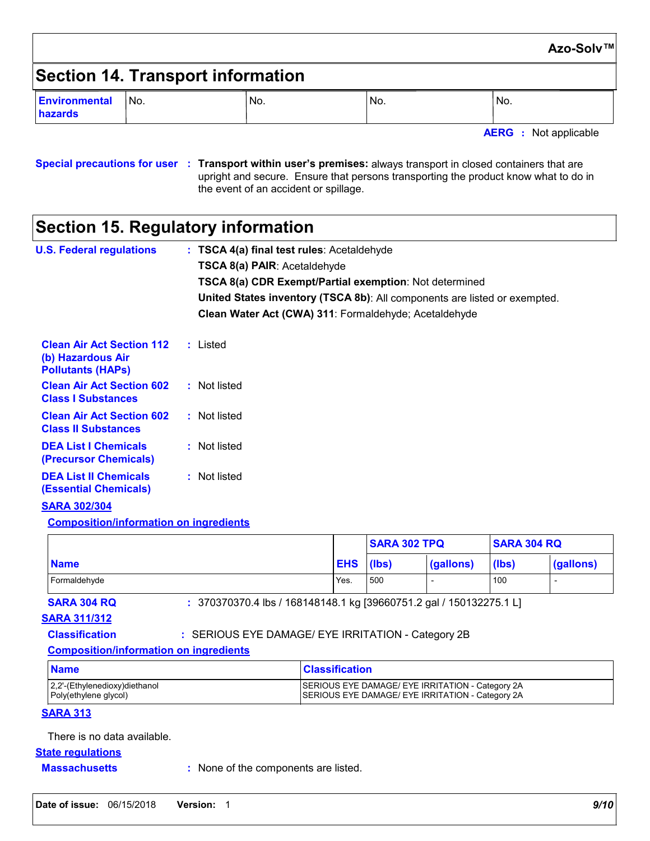|                                   |     |     |     |                              | Azo-Solv™ |
|-----------------------------------|-----|-----|-----|------------------------------|-----------|
| Section 14. Transport information |     |     |     |                              |           |
| Environmental<br>hazards          | No. | No. | No. | No.                          |           |
|                                   |     |     |     | <b>AERG</b> : Not applicable |           |

**Special precautions for user Transport within user's premises:** always transport in closed containers that are **:** upright and secure. Ensure that persons transporting the product know what to do in the event of an accident or spillage.

# **Section 15. Regulatory information**

| <b>U.S. Federal regulations</b>                                                   | : TSCA 4(a) final test rules: Acetaldehyde<br><b>TSCA 8(a) PAIR: Acetaldehyde</b><br><b>TSCA 8(a) CDR Exempt/Partial exemption: Not determined</b><br><b>United States inventory (TSCA 8b)</b> : All components are listed or exempted.<br>Clean Water Act (CWA) 311: Formaldehyde: Acetaldehyde |
|-----------------------------------------------------------------------------------|--------------------------------------------------------------------------------------------------------------------------------------------------------------------------------------------------------------------------------------------------------------------------------------------------|
| <b>Clean Air Act Section 112</b><br>(b) Hazardous Air<br><b>Pollutants (HAPs)</b> | : Listed                                                                                                                                                                                                                                                                                         |
| <b>Clean Air Act Section 602</b><br><b>Class I Substances</b>                     | : Not listed                                                                                                                                                                                                                                                                                     |
| <b>Clean Air Act Section 602</b><br><b>Class II Substances</b>                    | : Not listed                                                                                                                                                                                                                                                                                     |
| <b>DEA List I Chemicals</b><br>(Precursor Chemicals)                              | : Not listed                                                                                                                                                                                                                                                                                     |
| <b>DEA List II Chemicals</b><br><b>(Essential Chemicals)</b>                      | : Not listed                                                                                                                                                                                                                                                                                     |
| <b>SARA 302/304</b>                                                               |                                                                                                                                                                                                                                                                                                  |

**Composition/information on ingredients**

|              |      | <b>SARA 302 TPQ</b> |           | <b>SARA 304 RQ</b> |           |
|--------------|------|---------------------|-----------|--------------------|-----------|
| <b>Name</b>  | EHS  | (lbs)               | (gallons) | (lbs)              | (gallons) |
| Formaldehyde | Yes. | 500                 |           | 100                | -         |

**SARA 304 RQ :** 370370370.4 lbs / 168148148.1 kg [39660751.2 gal / 150132275.1 L]

#### **SARA 311/312**

#### **Classification :** SERIOUS EYE DAMAGE/ EYE IRRITATION - Category 2B

#### **Composition/information on ingredients**

| <b>Name</b>                   | <b>Classification</b>                            |
|-------------------------------|--------------------------------------------------|
| 2,2'-(Ethylenedioxy)diethanol | SERIOUS EYE DAMAGE/ EYE IRRITATION - Category 2A |
| Poly(ethylene glycol)         | SERIOUS EYE DAMAGE/ EYE IRRITATION - Category 2A |

#### **SARA 313**

There is no data available.

#### **State regulations**

**Massachusetts :** None of the components are listed.